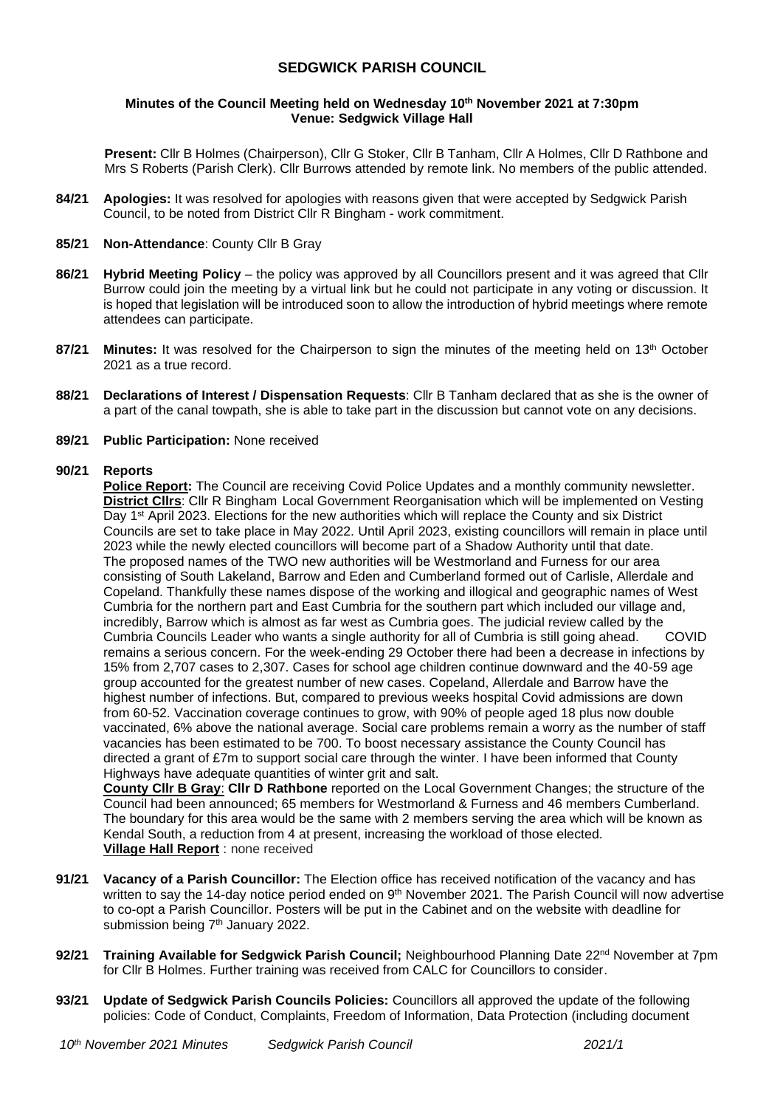# **SEDGWICK PARISH COUNCIL**

### **Minutes of the Council Meeting held on Wednesday 10 th November 2021 at 7:30pm Venue: Sedgwick Village Hall**

**Present:** Cllr B Holmes (Chairperson), Cllr G Stoker, Cllr B Tanham, Cllr A Holmes, Cllr D Rathbone and Mrs S Roberts (Parish Clerk). Cllr Burrows attended by remote link. No members of the public attended.

**84/21 Apologies:** It was resolved for apologies with reasons given that were accepted by Sedgwick Parish Council, to be noted from District Cllr R Bingham - work commitment.

### **85/21 Non-Attendance**: County Cllr B Gray

- **86/21 Hybrid Meeting Policy**  the policy was approved by all Councillors present and it was agreed that Cllr Burrow could join the meeting by a virtual link but he could not participate in any voting or discussion. It is hoped that legislation will be introduced soon to allow the introduction of hybrid meetings where remote attendees can participate.
- **87/21 Minutes:** It was resolved for the Chairperson to sign the minutes of the meeting held on 13th October 2021 as a true record.
- **88/21 Declarations of Interest / Dispensation Requests**: Cllr B Tanham declared that as she is the owner of a part of the canal towpath, she is able to take part in the discussion but cannot vote on any decisions.
- **89/21 Public Participation:** None received

### **90/21 Reports**

**Police Report:** The Council are receiving Covid Police Updates and a monthly community newsletter. **District Cllrs**: Cllr R Bingham Local Government Reorganisation which will be implemented on Vesting Day 1st April 2023. Elections for the new authorities which will replace the County and six District Councils are set to take place in May 2022. Until April 2023, existing councillors will remain in place until 2023 while the newly elected councillors will become part of a Shadow Authority until that date. The proposed names of the TWO new authorities will be Westmorland and Furness for our area consisting of South Lakeland, Barrow and Eden and Cumberland formed out of Carlisle, Allerdale and Copeland. Thankfully these names dispose of the working and illogical and geographic names of West Cumbria for the northern part and East Cumbria for the southern part which included our village and, incredibly, Barrow which is almost as far west as Cumbria goes. The judicial review called by the Cumbria Councils Leader who wants a single authority for all of Cumbria is still going ahead. COVID remains a serious concern. For the week-ending 29 October there had been a decrease in infections by 15% from 2,707 cases to 2,307. Cases for school age children continue downward and the 40-59 age group accounted for the greatest number of new cases. Copeland, Allerdale and Barrow have the highest number of infections. But, compared to previous weeks hospital Covid admissions are down from 60-52. Vaccination coverage continues to grow, with 90% of people aged 18 plus now double vaccinated, 6% above the national average. Social care problems remain a worry as the number of staff vacancies has been estimated to be 700. To boost necessary assistance the County Council has directed a grant of £7m to support social care through the winter. I have been informed that County Highways have adequate quantities of winter grit and salt.

**County Cllr B Gray**: **Cllr D Rathbone** reported on the Local Government Changes; the structure of the Council had been announced; 65 members for Westmorland & Furness and 46 members Cumberland. The boundary for this area would be the same with 2 members serving the area which will be known as Kendal South, a reduction from 4 at present, increasing the workload of those elected. **Village Hall Report** : none received

- **91/21 Vacancy of a Parish Councillor:** The Election office has received notification of the vacancy and has written to say the 14-day notice period ended on 9<sup>th</sup> November 2021. The Parish Council will now advertise to co-opt a Parish Councillor. Posters will be put in the Cabinet and on the website with deadline for submission being 7<sup>th</sup> January 2022.
- **92/21 Training Available for Sedgwick Parish Council;** Neighbourhood Planning Date 22nd November at 7pm for Cllr B Holmes. Further training was received from CALC for Councillors to consider.
- **93/21 Update of Sedgwick Parish Councils Policies:** Councillors all approved the update of the following policies: Code of Conduct, Complaints, Freedom of Information, Data Protection (including document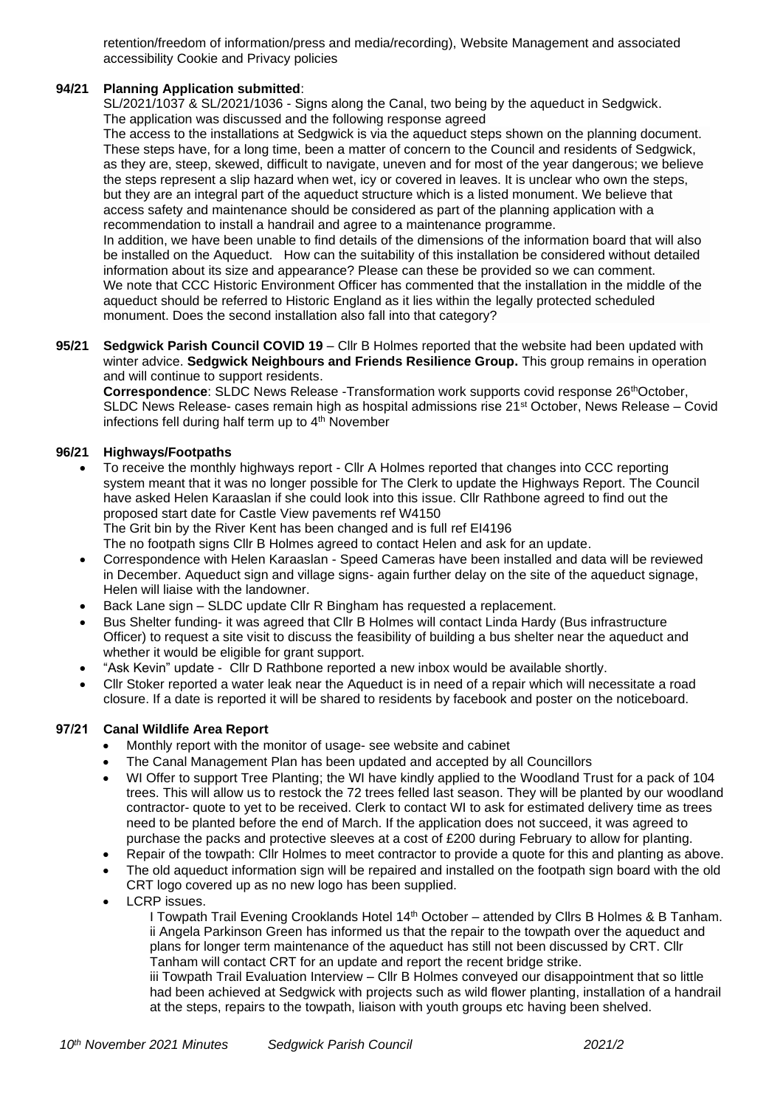retention/freedom of information/press and media/recording), Website Management and associated accessibility Cookie and Privacy policies

# **94/21 Planning Application submitted**:

SL/2021/1037 & SL/2021/1036 - Signs along the Canal, two being by the aqueduct in Sedgwick. The application was discussed and the following response agreed

The access to the installations at Sedgwick is via the aqueduct steps shown on the planning document. These steps have, for a long time, been a matter of concern to the Council and residents of Sedgwick, as they are, steep, skewed, difficult to navigate, uneven and for most of the year dangerous; we believe the steps represent a slip hazard when wet, icy or covered in leaves. It is unclear who own the steps, but they are an integral part of the aqueduct structure which is a listed monument. We believe that access safety and maintenance should be considered as part of the planning application with a recommendation to install a handrail and agree to a maintenance programme.

In addition, we have been unable to find details of the dimensions of the information board that will also be installed on the Aqueduct. How can the suitability of this installation be considered without detailed information about its size and appearance? Please can these be provided so we can comment. We note that CCC Historic Environment Officer has commented that the installation in the middle of the aqueduct should be referred to Historic England as it lies within the legally protected scheduled monument. Does the second installation also fall into that category?

**95/21 Sedgwick Parish Council COVID 19** – Cllr B Holmes reported that the website had been updated with winter advice. **Sedgwick Neighbours and Friends Resilience Group.** This group remains in operation and will continue to support residents.

**Correspondence:** SLDC News Release -Transformation work supports covid response 26<sup>th</sup>October, SLDC News Release- cases remain high as hospital admissions rise 21st October, News Release – Covid infections fell during half term up to 4<sup>th</sup> November

## **96/21 Highways/Footpaths**

- To receive the monthly highways report Cllr A Holmes reported that changes into CCC reporting system meant that it was no longer possible for The Clerk to update the Highways Report. The Council have asked Helen Karaaslan if she could look into this issue. Cllr Rathbone agreed to find out the proposed start date for Castle View pavements ref W4150 The Grit bin by the River Kent has been changed and is full ref EI4196 The no footpath signs Cllr B Holmes agreed to contact Helen and ask for an update.
- Correspondence with Helen Karaaslan Speed Cameras have been installed and data will be reviewed in December. Aqueduct sign and village signs- again further delay on the site of the aqueduct signage, Helen will liaise with the landowner.
- Back Lane sign SLDC update Cllr R Bingham has requested a replacement.
- Bus Shelter funding- it was agreed that Cllr B Holmes will contact Linda Hardy (Bus infrastructure Officer) to request a site visit to discuss the feasibility of building a bus shelter near the aqueduct and whether it would be eligible for grant support.
- "Ask Kevin" update Cllr D Rathbone reported a new inbox would be available shortly.
- Cllr Stoker reported a water leak near the Aqueduct is in need of a repair which will necessitate a road closure. If a date is reported it will be shared to residents by facebook and poster on the noticeboard.

# **97/21 Canal Wildlife Area Report**

- Monthly report with the monitor of usage- see website and cabinet
- The Canal Management Plan has been updated and accepted by all Councillors
- WI Offer to support Tree Planting; the WI have kindly applied to the Woodland Trust for a pack of 104 trees. This will allow us to restock the 72 trees felled last season. They will be planted by our woodland contractor- quote to yet to be received. Clerk to contact WI to ask for estimated delivery time as trees need to be planted before the end of March. If the application does not succeed, it was agreed to purchase the packs and protective sleeves at a cost of £200 during February to allow for planting.
- Repair of the towpath: Cllr Holmes to meet contractor to provide a quote for this and planting as above.
- The old aqueduct information sign will be repaired and installed on the footpath sign board with the old CRT logo covered up as no new logo has been supplied.
- LCRP issues.

I Towpath Trail Evening Crooklands Hotel 14<sup>th</sup> October – attended by Cllrs B Holmes & B Tanham. ii Angela Parkinson Green has informed us that the repair to the towpath over the aqueduct and plans for longer term maintenance of the aqueduct has still not been discussed by CRT. Cllr Tanham will contact CRT for an update and report the recent bridge strike.

iii Towpath Trail Evaluation Interview – Cllr B Holmes conveyed our disappointment that so little had been achieved at Sedgwick with projects such as wild flower planting, installation of a handrail at the steps, repairs to the towpath, liaison with youth groups etc having been shelved.